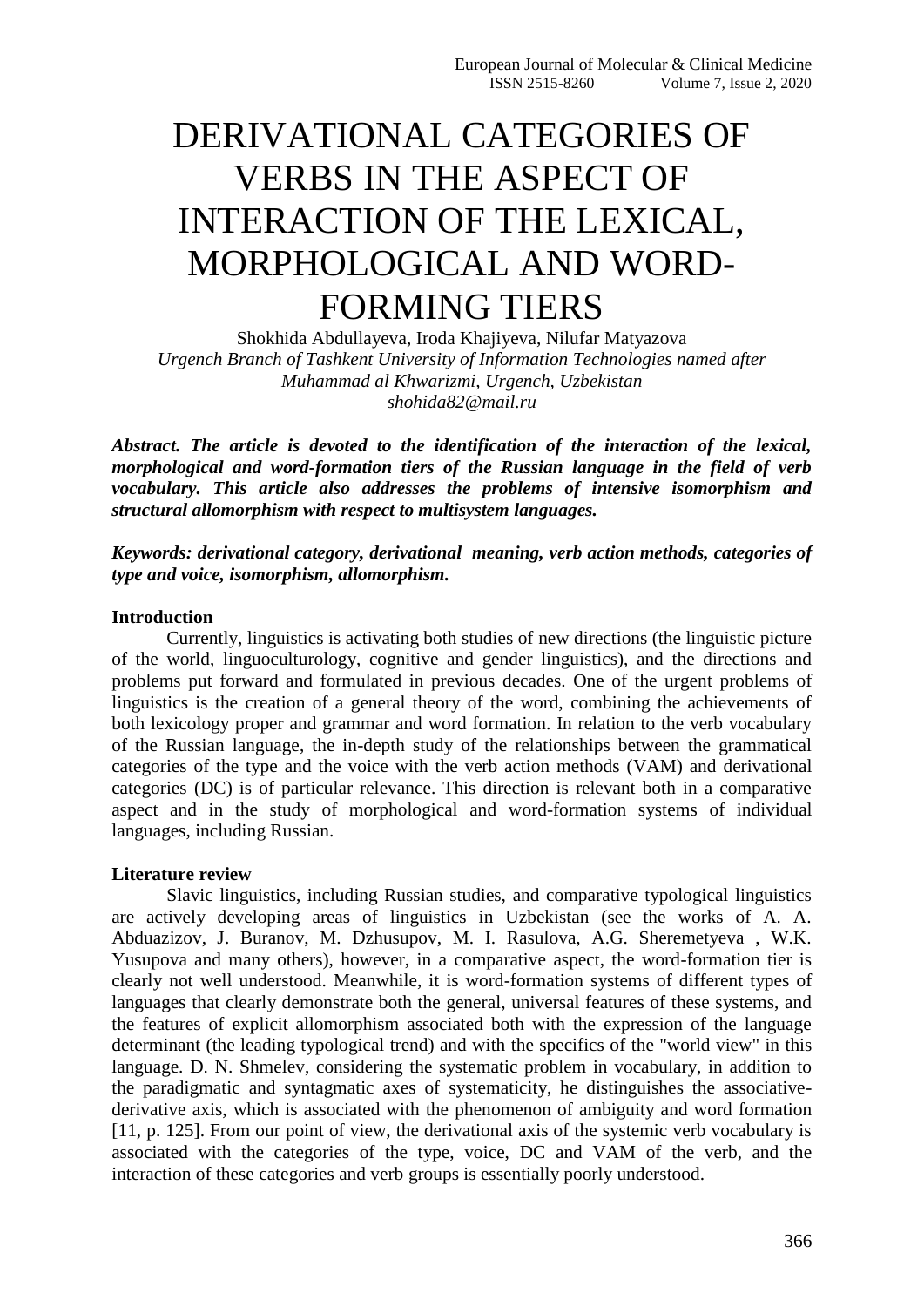# DERIVATIONAL CATEGORIES OF VERBS IN THE ASPECT OF INTERACTION OF THE LEXICAL, MORPHOLOGICAL AND WORD-FORMING TIERS

Shokhida Abdullayeva, Iroda Khajiyeva, Nilufar Matyazova *Urgench Branch of Tashkent University of Information Technologies named after Muhammad al Khwarizmi, Urgench, Uzbekistan shohida82@mail.ru*

*Abstract. The article is devoted to the identification of the interaction of the lexical, morphological and word-formation tiers of the Russian language in the field of verb vocabulary. This article also addresses the problems of intensive isomorphism and structural allomorphism with respect to multisystem languages.*

*Keywords: derivational category, derivational meaning, verb action methods, categories of type and voice, isomorphism, allomorphism.*

### **Introduction**

Currently, linguistics is activating both studies of new directions (the linguistic picture of the world, linguoculturology, cognitive and gender linguistics), and the directions and problems put forward and formulated in previous decades. One of the urgent problems of linguistics is the creation of a general theory of the word, combining the achievements of both lexicology proper and grammar and word formation. In relation to the verb vocabulary of the Russian language, the in-depth study of the relationships between the grammatical categories of the type and the voice with the verb action methods (VAM) and derivational categories (DC) is of particular relevance. This direction is relevant both in a comparative aspect and in the study of morphological and word-formation systems of individual languages, including Russian.

#### **Literature review**

Slavic linguistics, including Russian studies, and comparative typological linguistics are actively developing areas of linguistics in Uzbekistan (see the works of A. A. Abduazizov, J. Buranov, M. Dzhusupov, M. I. Rasulova, A.G. Sheremetyeva , W.K. Yusupova and many others), however, in a comparative aspect, the word-formation tier is clearly not well understood. Meanwhile, it is word-formation systems of different types of languages that clearly demonstrate both the general, universal features of these systems, and the features of explicit allomorphism associated both with the expression of the language determinant (the leading typological trend) and with the specifics of the "world view" in this language. D. N. Shmelev, considering the systematic problem in vocabulary, in addition to the paradigmatic and syntagmatic axes of systematicity, he distinguishes the associativederivative axis, which is associated with the phenomenon of ambiguity and word formation [11, p. 125]. From our point of view, the derivational axis of the systemic verb vocabulary is associated with the categories of the type, voice, DC and VAM of the verb, and the interaction of these categories and verb groups is essentially poorly understood.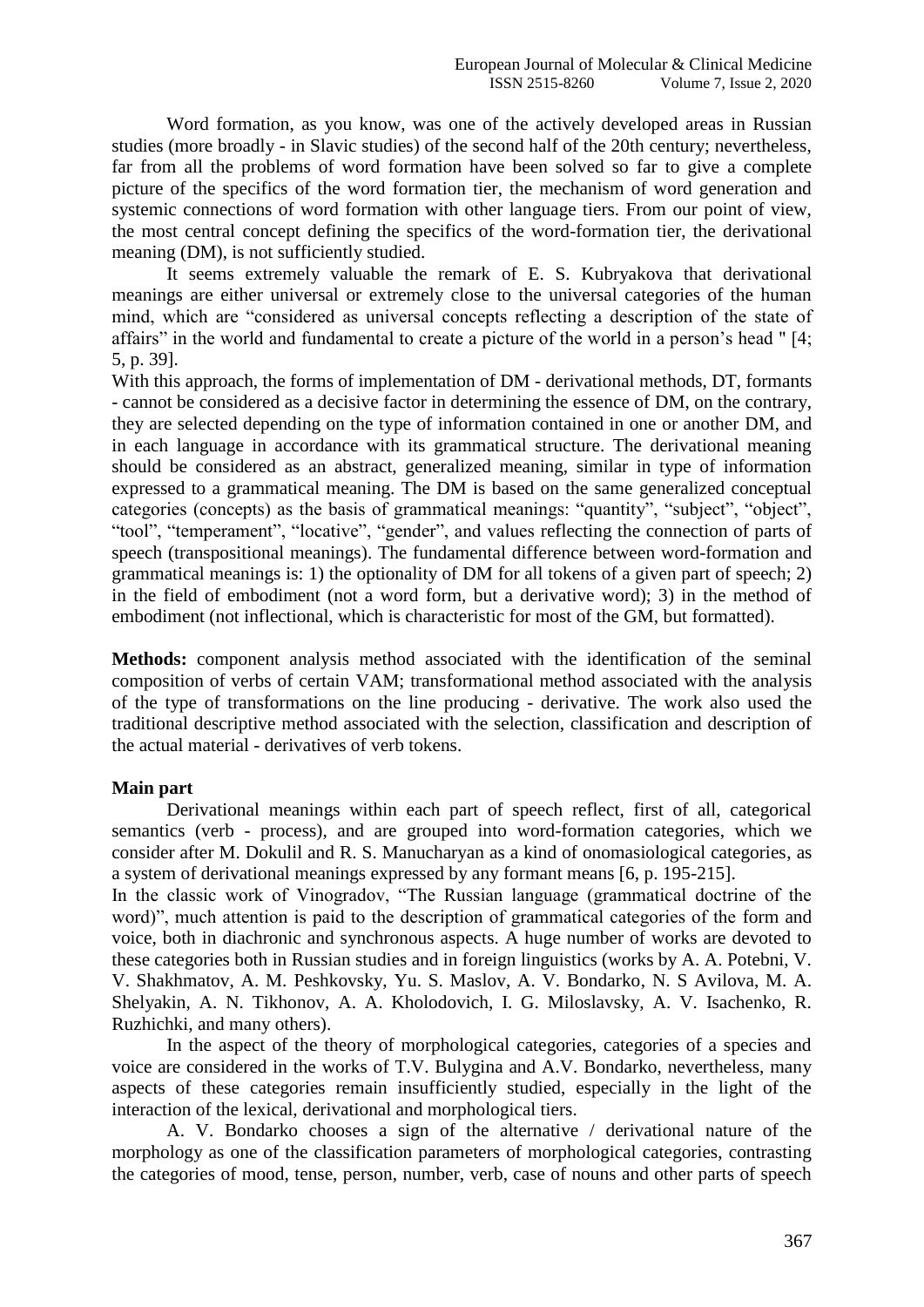Word formation, as you know, was one of the actively developed areas in Russian studies (more broadly - in Slavic studies) of the second half of the 20th century; nevertheless, far from all the problems of word formation have been solved so far to give a complete picture of the specifics of the word formation tier, the mechanism of word generation and systemic connections of word formation with other language tiers. From our point of view, the most central concept defining the specifics of the word-formation tier, the derivational meaning (DM), is not sufficiently studied.

It seems extremely valuable the remark of E. S. Kubryakova that derivational meanings are either universal or extremely close to the universal categories of the human mind, which are "considered as universal concepts reflecting a description of the state of affairs" in the world and fundamental to create a picture of the world in a person's head " [4; 5, p. 39].

With this approach, the forms of implementation of DM - derivational methods, DT, formants - cannot be considered as a decisive factor in determining the essence of DM, on the contrary, they are selected depending on the type of information contained in one or another DM, and in each language in accordance with its grammatical structure. The derivational meaning should be considered as an abstract, generalized meaning, similar in type of information expressed to a grammatical meaning. The DM is based on the same generalized conceptual categories (concepts) as the basis of grammatical meanings: "quantity", "subject", "object", "tool", "temperament", "locative", "gender", and values reflecting the connection of parts of speech (transpositional meanings). The fundamental difference between word-formation and grammatical meanings is: 1) the optionality of DM for all tokens of a given part of speech; 2) in the field of embodiment (not a word form, but a derivative word); 3) in the method of embodiment (not inflectional, which is characteristic for most of the GM, but formatted).

**Methods:** component analysis method associated with the identification of the seminal composition of verbs of certain VAM; transformational method associated with the analysis of the type of transformations on the line producing - derivative. The work also used the traditional descriptive method associated with the selection, classification and description of the actual material - derivatives of verb tokens.

## **Main part**

Derivational meanings within each part of speech reflect, first of all, categorical semantics (verb - process), and are grouped into word-formation categories, which we consider after M. Dokulil and R. S. Manucharyan as a kind of onomasiological categories, as a system of derivational meanings expressed by any formant means [6, p. 195-215].

In the classic work of Vinogradov, "The Russian language (grammatical doctrine of the word)", much attention is paid to the description of grammatical categories of the form and voice, both in diachronic and synchronous aspects. A huge number of works are devoted to these categories both in Russian studies and in foreign linguistics (works by A. A. Potebni, V. V. Shakhmatov, A. M. Peshkovsky, Yu. S. Maslov, A. V. Bondarko, N. S Avilova, M. A. Shelyakin, A. N. Tikhonov, A. A. Kholodovich, I. G. Miloslavsky, A. V. Isachenko, R. Ruzhichki, and many others).

In the aspect of the theory of morphological categories, categories of a species and voice are considered in the works of T.V. Bulygina and A.V. Bondarko, nevertheless, many aspects of these categories remain insufficiently studied, especially in the light of the interaction of the lexical, derivational and morphological tiers.

A. V. Bondarko chooses a sign of the alternative / derivational nature of the morphology as one of the classification parameters of morphological categories, contrasting the categories of mood, tense, person, number, verb, case of nouns and other parts of speech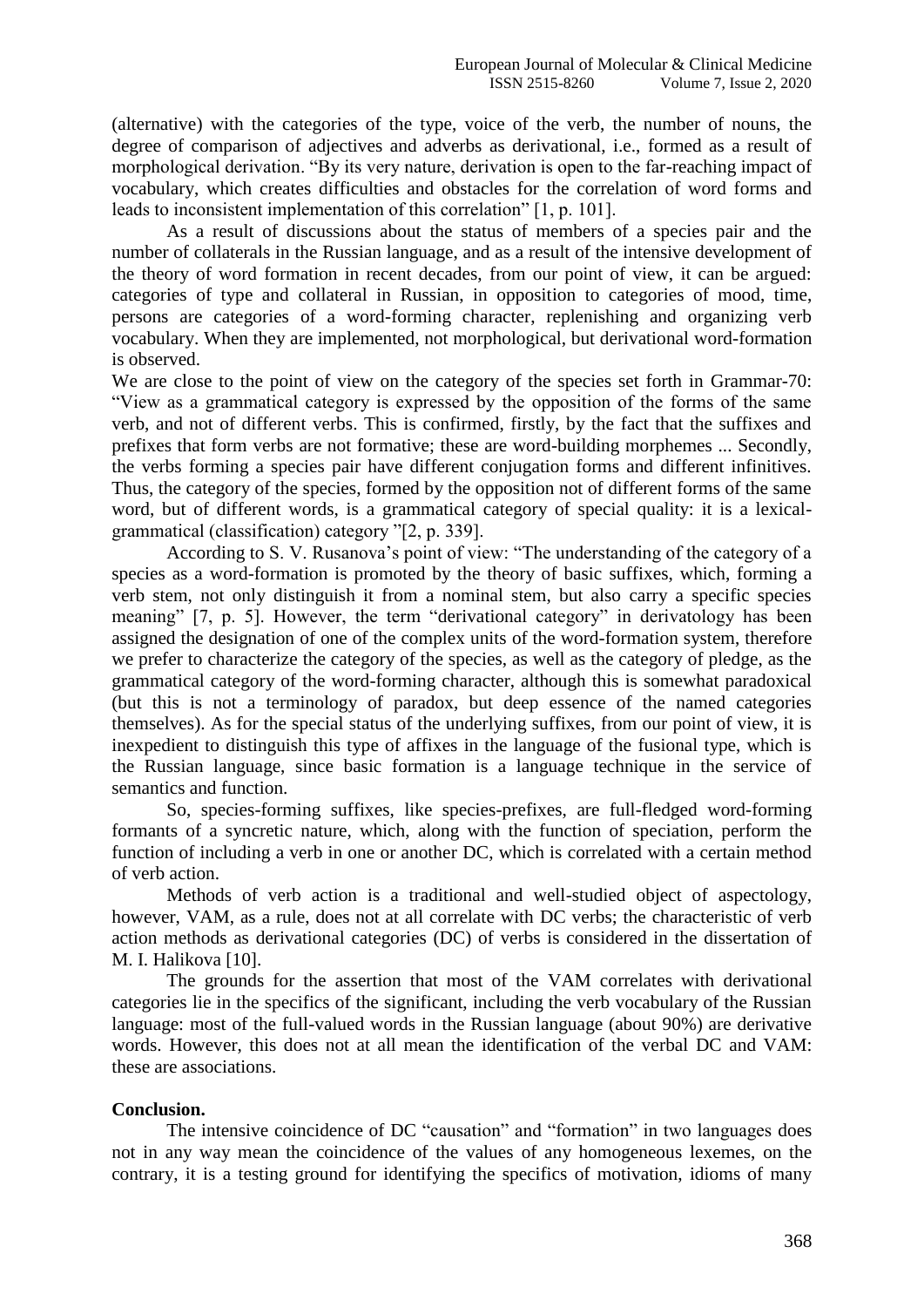(alternative) with the categories of the type, voice of the verb, the number of nouns, the degree of comparison of adjectives and adverbs as derivational, i.e., formed as a result of morphological derivation. "By its very nature, derivation is open to the far-reaching impact of vocabulary, which creates difficulties and obstacles for the correlation of word forms and leads to inconsistent implementation of this correlation" [1, p. 101].

As a result of discussions about the status of members of a species pair and the number of collaterals in the Russian language, and as a result of the intensive development of the theory of word formation in recent decades, from our point of view, it can be argued: categories of type and collateral in Russian, in opposition to categories of mood, time, persons are categories of a word-forming character, replenishing and organizing verb vocabulary. When they are implemented, not morphological, but derivational word-formation is observed.

We are close to the point of view on the category of the species set forth in Grammar-70: "View as a grammatical category is expressed by the opposition of the forms of the same verb, and not of different verbs. This is confirmed, firstly, by the fact that the suffixes and prefixes that form verbs are not formative; these are word-building morphemes ... Secondly, the verbs forming a species pair have different conjugation forms and different infinitives. Thus, the category of the species, formed by the opposition not of different forms of the same word, but of different words, is a grammatical category of special quality: it is a lexicalgrammatical (classification) category "[2, p. 339].

According to S. V. Rusanova's point of view: "The understanding of the category of a species as a word-formation is promoted by the theory of basic suffixes, which, forming a verb stem, not only distinguish it from a nominal stem, but also carry a specific species meaning" [7, p. 5]. However, the term "derivational category" in derivatology has been assigned the designation of one of the complex units of the word-formation system, therefore we prefer to characterize the category of the species, as well as the category of pledge, as the grammatical category of the word-forming character, although this is somewhat paradoxical (but this is not a terminology of paradox, but deep essence of the named categories themselves). As for the special status of the underlying suffixes, from our point of view, it is inexpedient to distinguish this type of affixes in the language of the fusional type, which is the Russian language, since basic formation is a language technique in the service of semantics and function.

So, species-forming suffixes, like species-prefixes, are full-fledged word-forming formants of a syncretic nature, which, along with the function of speciation, perform the function of including a verb in one or another DC, which is correlated with a certain method of verb action.

Methods of verb action is a traditional and well-studied object of aspectology, however, VAM, as a rule, does not at all correlate with DC verbs; the characteristic of verb action methods as derivational categories (DC) of verbs is considered in the dissertation of M. I. Halikova [10].

The grounds for the assertion that most of the VAM correlates with derivational categories lie in the specifics of the significant, including the verb vocabulary of the Russian language: most of the full-valued words in the Russian language (about 90%) are derivative words. However, this does not at all mean the identification of the verbal DC and VAM: these are associations.

#### **Conclusion.**

The intensive coincidence of DC "causation" and "formation" in two languages does not in any way mean the coincidence of the values of any homogeneous lexemes, on the contrary, it is a testing ground for identifying the specifics of motivation, idioms of many